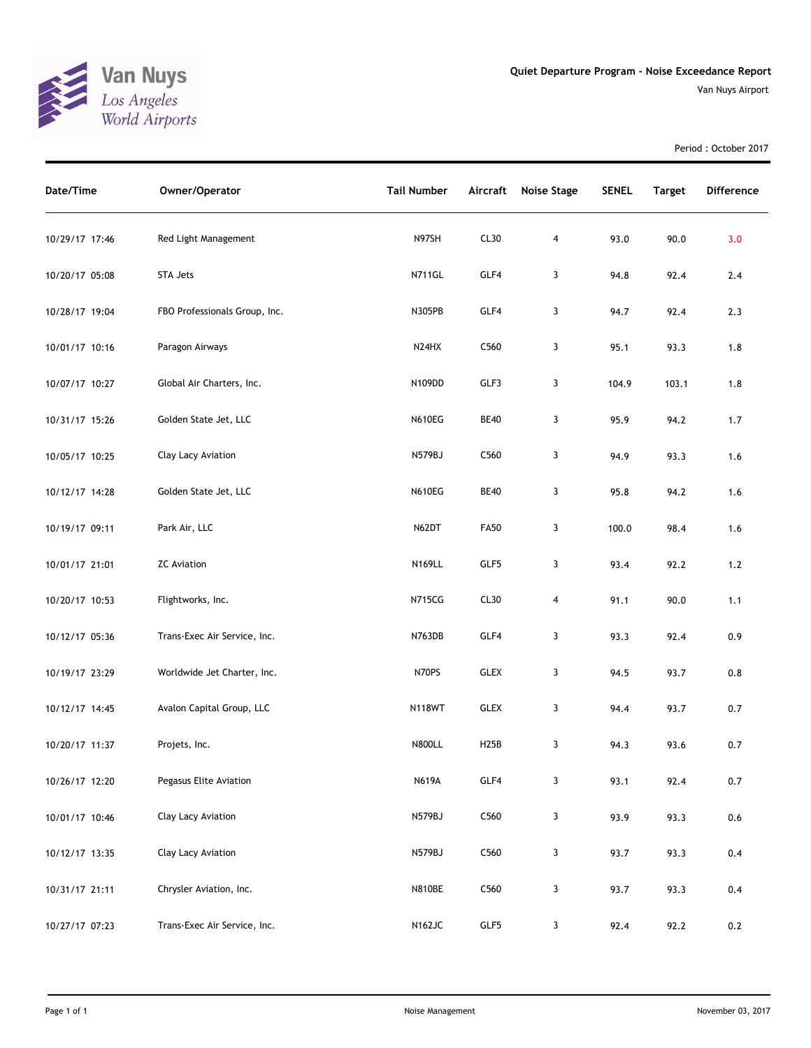

Period : October 2017

| Date/Time      | Owner/Operator                | <b>Tail Number</b>             | Aircraft          | <b>Noise Stage</b> | <b>SENEL</b> | <b>Target</b> | <b>Difference</b> |
|----------------|-------------------------------|--------------------------------|-------------------|--------------------|--------------|---------------|-------------------|
| 10/29/17 17:46 | Red Light Management          | N97SH                          | CL30              | $\overline{4}$     | 93.0         | 90.0          | 3.0               |
| 10/20/17 05:08 | STA Jets                      | <b>N711GL</b>                  | GLF4              | 3                  | 94.8         | 92.4          | 2.4               |
| 10/28/17 19:04 | FBO Professionals Group, Inc. | N305PB                         | GLF4              | 3                  | 94.7         | 92.4          | 2.3               |
| 10/01/17 10:16 | Paragon Airways               | N <sub>24</sub> H <sub>X</sub> | C560              | 3                  | 95.1         | 93.3          | 1.8               |
| 10/07/17 10:27 | Global Air Charters, Inc.     | N109DD                         | GLF3              | 3                  | 104.9        | 103.1         | 1.8               |
| 10/31/17 15:26 | Golden State Jet, LLC         | <b>N610EG</b>                  | <b>BE40</b>       | 3                  | 95.9         | 94.2          | 1.7               |
| 10/05/17 10:25 | Clay Lacy Aviation            | N579BJ                         | C560              | 3                  | 94.9         | 93.3          | 1.6               |
| 10/12/17 14:28 | Golden State Jet, LLC         | <b>N610EG</b>                  | <b>BE40</b>       | 3                  | 95.8         | 94.2          | 1.6               |
| 10/19/17 09:11 | Park Air, LLC                 | N62DT                          | <b>FA50</b>       | 3                  | 100.0        | 98.4          | 1.6               |
| 10/01/17 21:01 | <b>ZC</b> Aviation            | N169LL                         | GLF5              | 3                  | 93.4         | 92.2          | $1.2$             |
| 10/20/17 10:53 | Flightworks, Inc.             | <b>N715CG</b>                  | CL30              | 4                  | 91.1         | 90.0          | 1.1               |
| 10/12/17 05:36 | Trans-Exec Air Service, Inc.  | N763DB                         | GLF4              | 3                  | 93.3         | 92.4          | 0.9               |
| 10/19/17 23:29 | Worldwide Jet Charter, Inc.   | N70PS                          | <b>GLEX</b>       | 3                  | 94.5         | 93.7          | 0.8               |
| 10/12/17 14:45 | Avalon Capital Group, LLC     | <b>N118WT</b>                  | <b>GLEX</b>       | 3                  | 94.4         | 93.7          | 0.7               |
| 10/20/17 11:37 | Projets, Inc.                 | <b>N800LL</b>                  | H <sub>25</sub> B | 3                  | 94.3         | 93.6          | 0.7               |
| 10/26/17 12:20 | Pegasus Elite Aviation        | <b>N619A</b>                   | GLF4              | $\mathbf{3}$       | 93.1         | 92.4          | 0.7               |
| 10/01/17 10:46 | Clay Lacy Aviation            | N579BJ                         | C560              | 3                  | 93.9         | 93.3          | 0.6               |
| 10/12/17 13:35 | Clay Lacy Aviation            | <b>N579BJ</b>                  | C560              | 3                  | 93.7         | 93.3          | 0.4               |
| 10/31/17 21:11 | Chrysler Aviation, Inc.       | <b>N810BE</b>                  | C560              | 3                  | 93.7         | 93.3          | 0.4               |
| 10/27/17 07:23 | Trans-Exec Air Service, Inc.  | <b>N162JC</b>                  | GLF5              | 3                  | 92.4         | 92.2          | 0.2               |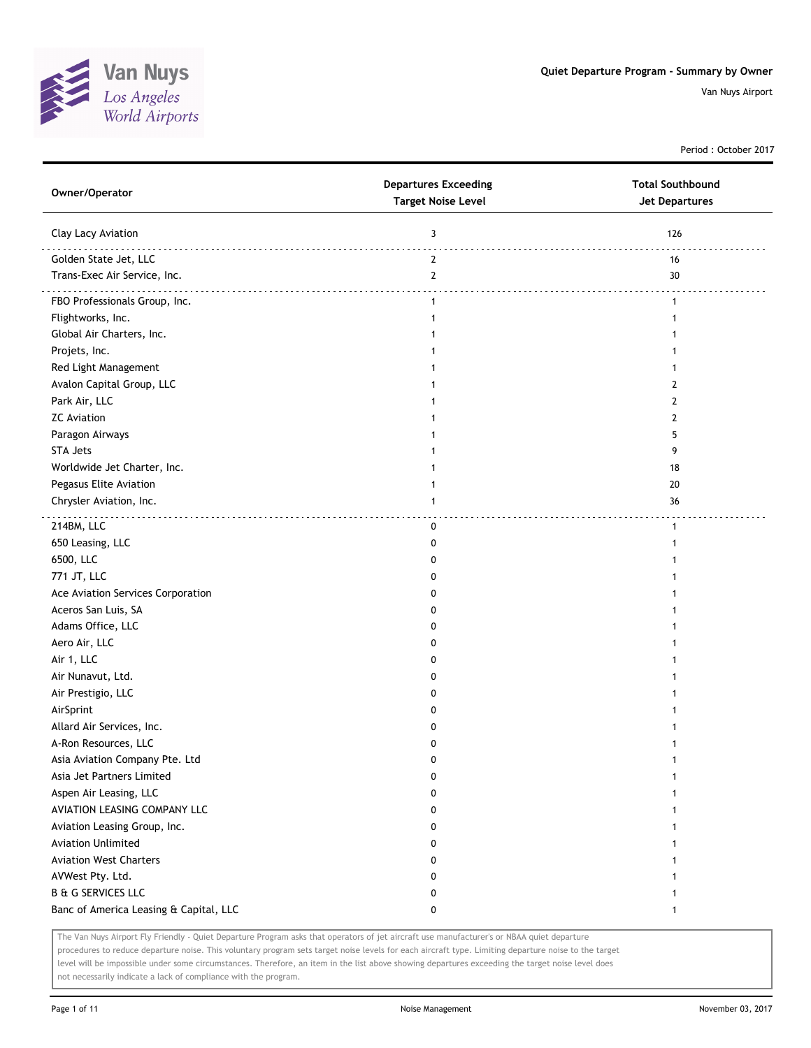

Period : October 2017

| Owner/Operator                         | <b>Departures Exceeding</b><br><b>Target Noise Level</b> | <b>Total Southbound</b><br>Jet Departures |
|----------------------------------------|----------------------------------------------------------|-------------------------------------------|
| Clay Lacy Aviation                     | 3                                                        | 126                                       |
| Golden State Jet, LLC                  | $\mathbf{2}$                                             | 16                                        |
| Trans-Exec Air Service, Inc.           | $2^{\circ}$                                              | 30                                        |
| FBO Professionals Group, Inc.          | $\mathbf{1}$                                             | $\mathbf{1}$                              |
| Flightworks, Inc.                      | $\mathbf{1}$                                             |                                           |
| Global Air Charters, Inc.              |                                                          |                                           |
| Projets, Inc.                          |                                                          |                                           |
| Red Light Management                   |                                                          |                                           |
| Avalon Capital Group, LLC              |                                                          | 2                                         |
| Park Air, LLC                          |                                                          | 2                                         |
| <b>ZC Aviation</b>                     |                                                          | 2                                         |
| Paragon Airways                        |                                                          | 5                                         |
| <b>STA Jets</b>                        |                                                          | 9                                         |
| Worldwide Jet Charter, Inc.            |                                                          | 18                                        |
| Pegasus Elite Aviation                 | 1                                                        | 20                                        |
| Chrysler Aviation, Inc.                | 1                                                        | 36                                        |
|                                        |                                                          |                                           |
| 214BM, LLC                             | 0                                                        | $\mathbf{1}$                              |
| 650 Leasing, LLC                       | 0                                                        |                                           |
| 6500, LLC                              | 0                                                        |                                           |
| 771 JT, LLC                            | 0                                                        |                                           |
| Ace Aviation Services Corporation      | 0                                                        |                                           |
| Aceros San Luis, SA                    | 0                                                        |                                           |
| Adams Office, LLC                      | 0                                                        |                                           |
| Aero Air, LLC                          | 0                                                        |                                           |
| Air 1, LLC                             | 0                                                        |                                           |
| Air Nunavut, Ltd.                      | 0                                                        |                                           |
| Air Prestigio, LLC                     | 0                                                        |                                           |
| AirSprint                              | 0                                                        |                                           |
| Allard Air Services, Inc.              | 0                                                        |                                           |
| A-Ron Resources, LLC                   | 0                                                        |                                           |
| Asia Aviation Company Pte. Ltd         | 0                                                        |                                           |
| Asia Jet Partners Limited              | 0                                                        | 1                                         |
| Aspen Air Leasing, LLC                 | 0                                                        | 1                                         |
| AVIATION LEASING COMPANY LLC           | 0                                                        |                                           |
| Aviation Leasing Group, Inc.           | 0                                                        |                                           |
| <b>Aviation Unlimited</b>              | 0                                                        |                                           |
| <b>Aviation West Charters</b>          | 0                                                        |                                           |
| AVWest Pty. Ltd.                       | 0                                                        |                                           |
| <b>B &amp; G SERVICES LLC</b>          | 0                                                        |                                           |
| Banc of America Leasing & Capital, LLC | 0                                                        | 1                                         |

The Van Nuys Airport Fly Friendly - Quiet Departure Program asks that operators of jet aircraft use manufacturer's or NBAA quiet departure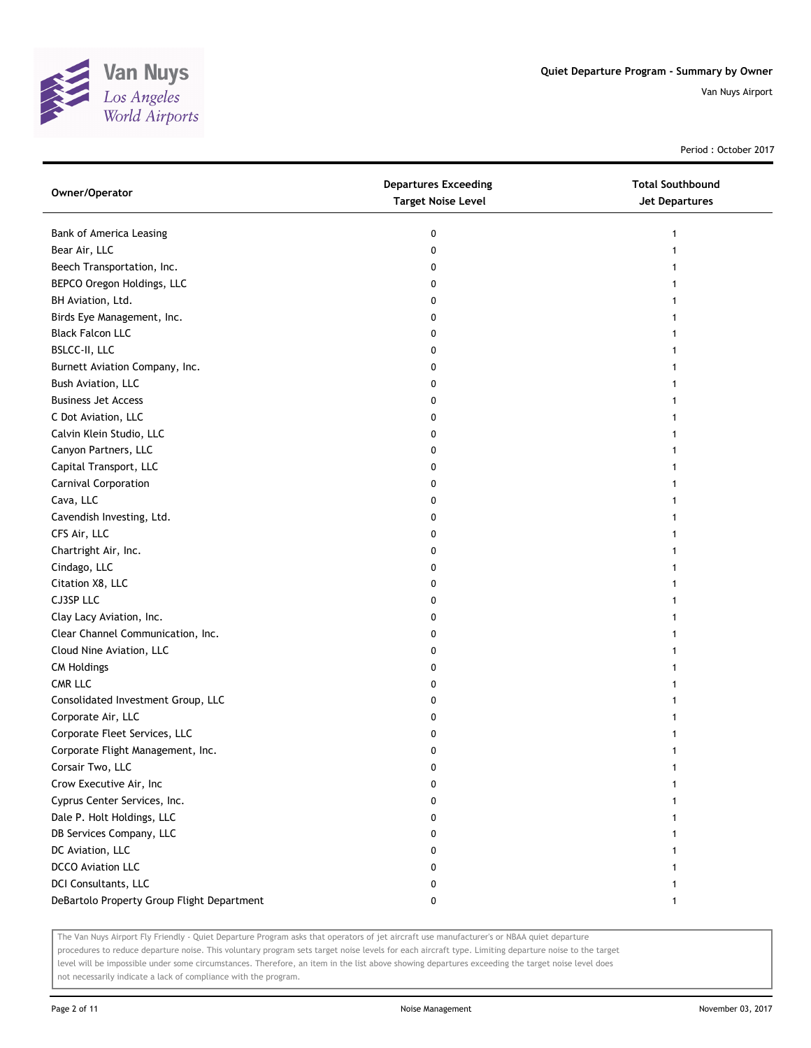

Period : October 2017

| Owner/Operator                             | <b>Departures Exceeding</b><br><b>Target Noise Level</b> | <b>Total Southbound</b><br><b>Jet Departures</b> |
|--------------------------------------------|----------------------------------------------------------|--------------------------------------------------|
| <b>Bank of America Leasing</b>             | 0                                                        | 1                                                |
| Bear Air, LLC                              | 0                                                        |                                                  |
| Beech Transportation, Inc.                 | 0                                                        |                                                  |
| BEPCO Oregon Holdings, LLC                 | 0                                                        |                                                  |
| BH Aviation, Ltd.                          | 0                                                        |                                                  |
| Birds Eye Management, Inc.                 | 0                                                        |                                                  |
| <b>Black Falcon LLC</b>                    | 0                                                        |                                                  |
| BSLCC-II, LLC                              | 0                                                        |                                                  |
| Burnett Aviation Company, Inc.             | 0                                                        |                                                  |
| Bush Aviation, LLC                         | 0                                                        |                                                  |
| <b>Business Jet Access</b>                 | 0                                                        |                                                  |
| C Dot Aviation, LLC                        | 0                                                        |                                                  |
| Calvin Klein Studio, LLC                   | 0                                                        |                                                  |
| Canyon Partners, LLC                       | 0                                                        |                                                  |
| Capital Transport, LLC                     | 0                                                        |                                                  |
| Carnival Corporation                       | 0                                                        |                                                  |
| Cava, LLC                                  | 0                                                        |                                                  |
| Cavendish Investing, Ltd.                  | 0                                                        |                                                  |
| CFS Air, LLC                               | 0                                                        |                                                  |
| Chartright Air, Inc.                       | 0                                                        |                                                  |
| Cindago, LLC                               | 0                                                        |                                                  |
| Citation X8, LLC                           | 0                                                        |                                                  |
| CJ3SP LLC                                  | 0                                                        |                                                  |
| Clay Lacy Aviation, Inc.                   | 0                                                        |                                                  |
| Clear Channel Communication, Inc.          | 0                                                        |                                                  |
| Cloud Nine Aviation, LLC                   | 0                                                        |                                                  |
| <b>CM Holdings</b>                         | 0                                                        |                                                  |
| CMR LLC                                    | 0                                                        |                                                  |
| Consolidated Investment Group, LLC         | 0                                                        |                                                  |
| Corporate Air, LLC                         | 0                                                        |                                                  |
| Corporate Fleet Services, LLC              | 0                                                        |                                                  |
| Corporate Flight Management, Inc.          | 0                                                        |                                                  |
| Corsair Two, LLC                           | 0                                                        |                                                  |
| Crow Executive Air, Inc                    | 0                                                        |                                                  |
| Cyprus Center Services, Inc.               | 0                                                        |                                                  |
| Dale P. Holt Holdings, LLC                 | 0                                                        |                                                  |
| DB Services Company, LLC                   | 0                                                        |                                                  |
| DC Aviation, LLC                           | 0                                                        |                                                  |
| <b>DCCO</b> Aviation LLC                   | 0                                                        |                                                  |
| DCI Consultants, LLC                       | 0                                                        |                                                  |
| DeBartolo Property Group Flight Department | 0                                                        |                                                  |

The Van Nuys Airport Fly Friendly - Quiet Departure Program asks that operators of jet aircraft use manufacturer's or NBAA quiet departure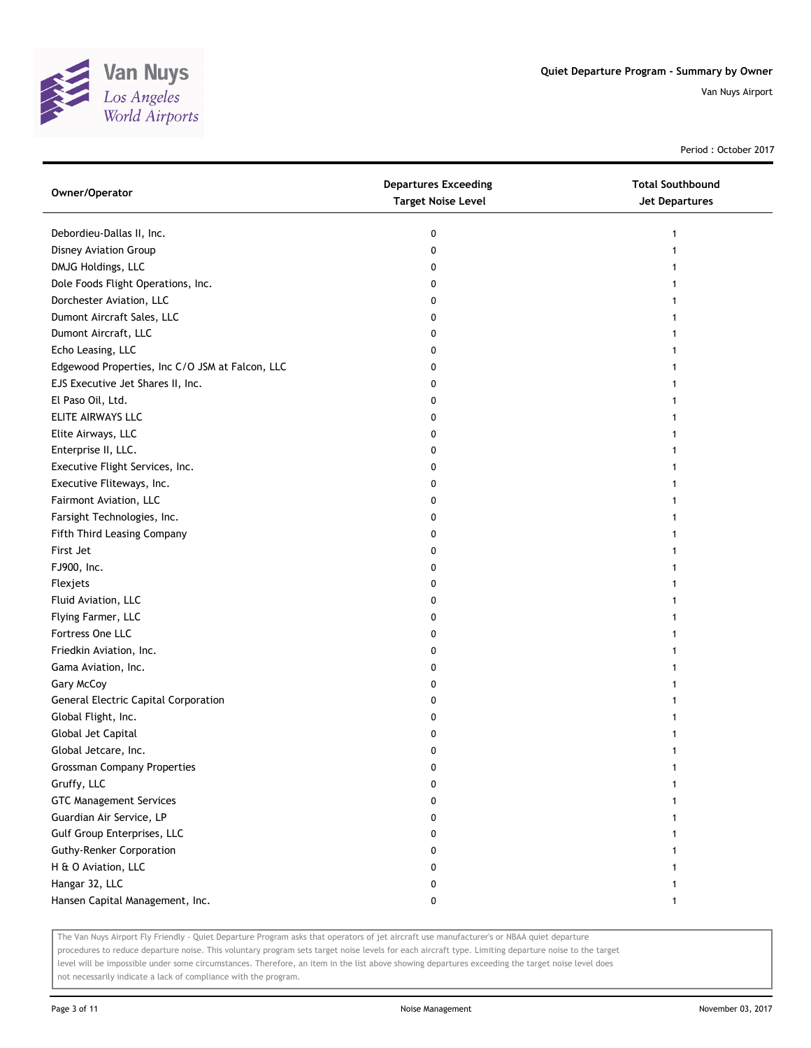

Period : October 2017

| Owner/Operator                                  | <b>Departures Exceeding</b><br><b>Target Noise Level</b> | <b>Total Southbound</b><br><b>Jet Departures</b> |
|-------------------------------------------------|----------------------------------------------------------|--------------------------------------------------|
| Debordieu-Dallas II, Inc.                       | 0                                                        | 1                                                |
| <b>Disney Aviation Group</b>                    | 0                                                        |                                                  |
| DMJG Holdings, LLC                              | 0                                                        |                                                  |
| Dole Foods Flight Operations, Inc.              | 0                                                        |                                                  |
| Dorchester Aviation, LLC                        | 0                                                        |                                                  |
| Dumont Aircraft Sales, LLC                      | 0                                                        | 1                                                |
| Dumont Aircraft, LLC                            | 0                                                        |                                                  |
| Echo Leasing, LLC                               | 0                                                        |                                                  |
| Edgewood Properties, Inc C/O JSM at Falcon, LLC | 0                                                        |                                                  |
| EJS Executive Jet Shares II, Inc.               | 0                                                        |                                                  |
| El Paso Oil, Ltd.                               | 0                                                        |                                                  |
| ELITE AIRWAYS LLC                               | 0                                                        |                                                  |
| Elite Airways, LLC                              | 0                                                        |                                                  |
| Enterprise II, LLC.                             | 0                                                        |                                                  |
| Executive Flight Services, Inc.                 | 0                                                        | 1                                                |
| Executive Fliteways, Inc.                       | 0                                                        |                                                  |
| Fairmont Aviation, LLC                          | 0                                                        |                                                  |
| Farsight Technologies, Inc.                     | 0                                                        |                                                  |
| Fifth Third Leasing Company                     | 0                                                        |                                                  |
| First Jet                                       | 0                                                        |                                                  |
| FJ900, Inc.                                     | 0                                                        |                                                  |
| Flexjets                                        | 0                                                        |                                                  |
| Fluid Aviation, LLC                             | 0                                                        |                                                  |
| Flying Farmer, LLC                              | 0                                                        |                                                  |
| Fortress One LLC                                | 0                                                        | 1                                                |
| Friedkin Aviation, Inc.                         | 0                                                        | 1                                                |
| Gama Aviation, Inc.                             | 0                                                        |                                                  |
| Gary McCoy                                      | 0                                                        |                                                  |
| General Electric Capital Corporation            | 0                                                        |                                                  |
| Global Flight, Inc.                             | 0                                                        |                                                  |
| Global Jet Capital                              | 0                                                        |                                                  |
| Global Jetcare, Inc.                            | 0                                                        |                                                  |
| <b>Grossman Company Properties</b>              | 0                                                        |                                                  |
| Gruffy, LLC                                     | 0                                                        |                                                  |
| <b>GTC Management Services</b>                  | 0                                                        |                                                  |
| Guardian Air Service, LP                        | 0                                                        |                                                  |
| Gulf Group Enterprises, LLC                     | 0                                                        |                                                  |
| <b>Guthy-Renker Corporation</b>                 | 0                                                        |                                                  |
| H & O Aviation, LLC                             | 0                                                        |                                                  |
| Hangar 32, LLC                                  | 0                                                        |                                                  |
| Hansen Capital Management, Inc.                 | 0                                                        | $\mathbf{1}$                                     |

The Van Nuys Airport Fly Friendly - Quiet Departure Program asks that operators of jet aircraft use manufacturer's or NBAA quiet departure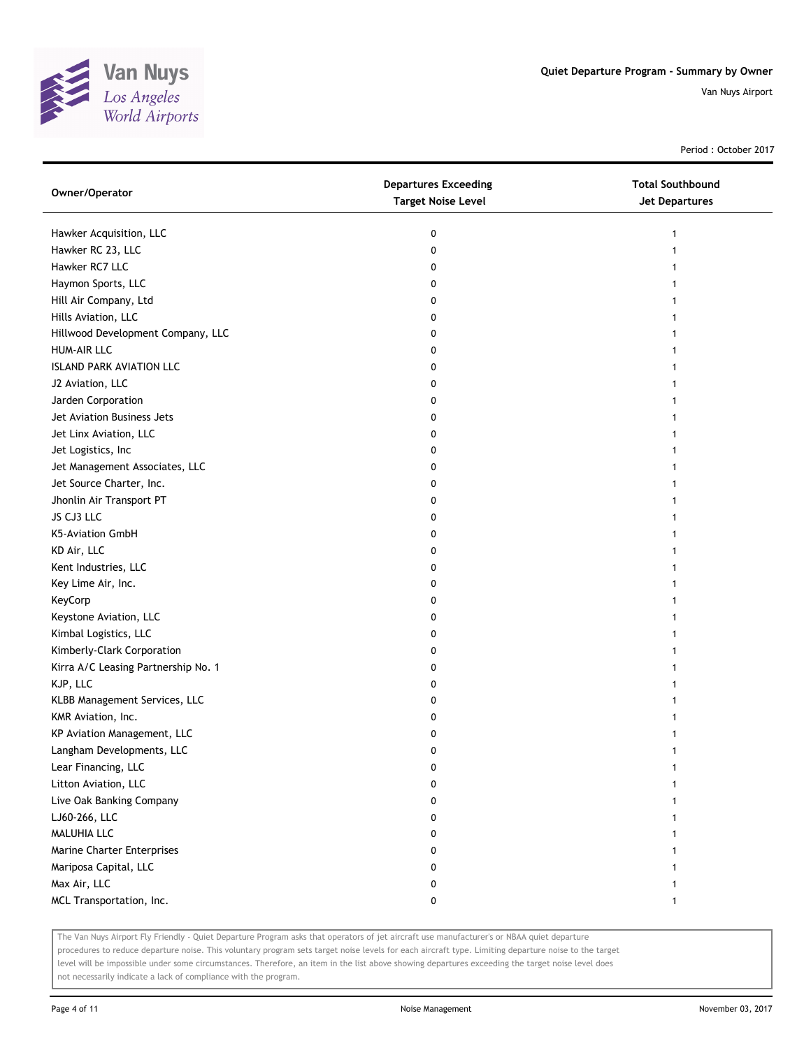

Period : October 2017

| Owner/Operator                      | <b>Departures Exceeding</b><br><b>Target Noise Level</b> | <b>Total Southbound</b><br><b>Jet Departures</b> |
|-------------------------------------|----------------------------------------------------------|--------------------------------------------------|
| Hawker Acquisition, LLC             | 0                                                        | 1                                                |
| Hawker RC 23, LLC                   | 0                                                        |                                                  |
| Hawker RC7 LLC                      | 0                                                        |                                                  |
| Haymon Sports, LLC                  | 0                                                        |                                                  |
| Hill Air Company, Ltd               | 0                                                        |                                                  |
| Hills Aviation, LLC                 | 0                                                        |                                                  |
| Hillwood Development Company, LLC   | 0                                                        | 1                                                |
| HUM-AIR LLC                         | 0                                                        | 1                                                |
| <b>ISLAND PARK AVIATION LLC</b>     | 0                                                        |                                                  |
| J2 Aviation, LLC                    | 0                                                        |                                                  |
| Jarden Corporation                  | 0                                                        |                                                  |
| Jet Aviation Business Jets          | 0                                                        |                                                  |
| Jet Linx Aviation, LLC              | 0                                                        |                                                  |
| Jet Logistics, Inc                  | 0                                                        |                                                  |
| Jet Management Associates, LLC      | 0                                                        |                                                  |
| Jet Source Charter, Inc.            | 0                                                        | 1                                                |
| Jhonlin Air Transport PT            | 0                                                        | 1                                                |
| JS CJ3 LLC                          | 0                                                        | 1                                                |
| K5-Aviation GmbH                    | 0                                                        |                                                  |
| KD Air, LLC                         | 0                                                        |                                                  |
| Kent Industries, LLC                | 0                                                        |                                                  |
| Key Lime Air, Inc.                  | 0                                                        |                                                  |
| KeyCorp                             | 0                                                        | 1                                                |
| Keystone Aviation, LLC              | 0                                                        |                                                  |
| Kimbal Logistics, LLC               | 0                                                        | 1                                                |
| Kimberly-Clark Corporation          | 0                                                        | 1                                                |
| Kirra A/C Leasing Partnership No. 1 | 0                                                        | 1                                                |
| KJP, LLC                            | 0                                                        | 1                                                |
| KLBB Management Services, LLC       | 0                                                        |                                                  |
| KMR Aviation, Inc.                  | 0                                                        |                                                  |
| KP Aviation Management, LLC         | 0                                                        |                                                  |
| Langham Developments, LLC           | 0                                                        | 1                                                |
| Lear Financing, LLC                 | 0                                                        |                                                  |
| Litton Aviation, LLC                | 0                                                        |                                                  |
| Live Oak Banking Company            | 0                                                        |                                                  |
| LJ60-266, LLC                       | 0                                                        |                                                  |
| MALUHIA LLC                         | 0                                                        |                                                  |
| Marine Charter Enterprises          | 0                                                        |                                                  |
| Mariposa Capital, LLC               | 0                                                        |                                                  |
| Max Air, LLC                        | 0                                                        |                                                  |
| MCL Transportation, Inc.            | 0                                                        | 1                                                |

The Van Nuys Airport Fly Friendly - Quiet Departure Program asks that operators of jet aircraft use manufacturer's or NBAA quiet departure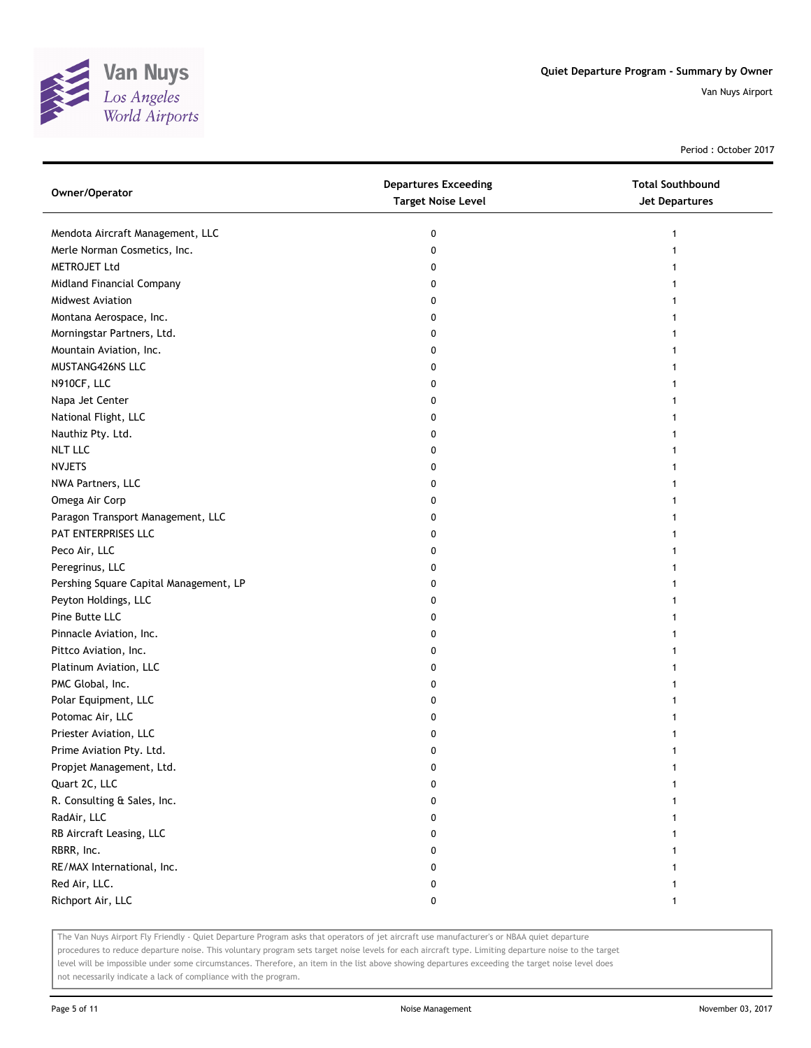

Period : October 2017

| Owner/Operator                         | <b>Departures Exceeding</b><br><b>Target Noise Level</b> | <b>Total Southbound</b><br>Jet Departures |
|----------------------------------------|----------------------------------------------------------|-------------------------------------------|
| Mendota Aircraft Management, LLC       | 0                                                        | 1                                         |
| Merle Norman Cosmetics, Inc.           | 0                                                        |                                           |
| METROJET Ltd                           | 0                                                        |                                           |
| Midland Financial Company              | 0                                                        |                                           |
| <b>Midwest Aviation</b>                | 0                                                        |                                           |
| Montana Aerospace, Inc.                | 0                                                        |                                           |
| Morningstar Partners, Ltd.             | 0                                                        |                                           |
| Mountain Aviation, Inc.                | 0                                                        |                                           |
| MUSTANG426NS LLC                       | 0                                                        |                                           |
| N910CF, LLC                            | 0                                                        |                                           |
| Napa Jet Center                        | 0                                                        |                                           |
| National Flight, LLC                   | 0                                                        |                                           |
| Nauthiz Pty. Ltd.                      | 0                                                        |                                           |
| <b>NLT LLC</b>                         | 0                                                        |                                           |
| <b>NVJETS</b>                          | 0                                                        |                                           |
| NWA Partners, LLC                      | 0                                                        |                                           |
| Omega Air Corp                         | 0                                                        |                                           |
| Paragon Transport Management, LLC      | 0                                                        |                                           |
| PAT ENTERPRISES LLC                    | 0                                                        |                                           |
| Peco Air, LLC                          | 0                                                        |                                           |
| Peregrinus, LLC                        | 0                                                        |                                           |
| Pershing Square Capital Management, LP | 0                                                        |                                           |
| Peyton Holdings, LLC                   | 0                                                        |                                           |
| Pine Butte LLC                         | 0                                                        |                                           |
| Pinnacle Aviation, Inc.                | 0                                                        |                                           |
| Pittco Aviation, Inc.                  | 0                                                        |                                           |
| Platinum Aviation, LLC                 | 0                                                        |                                           |
| PMC Global, Inc.                       | 0                                                        |                                           |
| Polar Equipment, LLC                   | 0                                                        |                                           |
| Potomac Air, LLC                       | 0                                                        |                                           |
| Priester Aviation, LLC                 | 0                                                        |                                           |
| Prime Aviation Pty. Ltd.               | 0                                                        |                                           |
| Propjet Management, Ltd.               | 0                                                        |                                           |
| Quart 2C, LLC                          | 0                                                        |                                           |
| R. Consulting & Sales, Inc.            | 0                                                        |                                           |
| RadAir, LLC                            | 0                                                        |                                           |
| RB Aircraft Leasing, LLC               | 0                                                        |                                           |
| RBRR, Inc.                             | 0                                                        |                                           |
| RE/MAX International, Inc.             | 0                                                        |                                           |
| Red Air, LLC.                          | 0                                                        |                                           |
| Richport Air, LLC                      | 0                                                        | 1                                         |

The Van Nuys Airport Fly Friendly - Quiet Departure Program asks that operators of jet aircraft use manufacturer's or NBAA quiet departure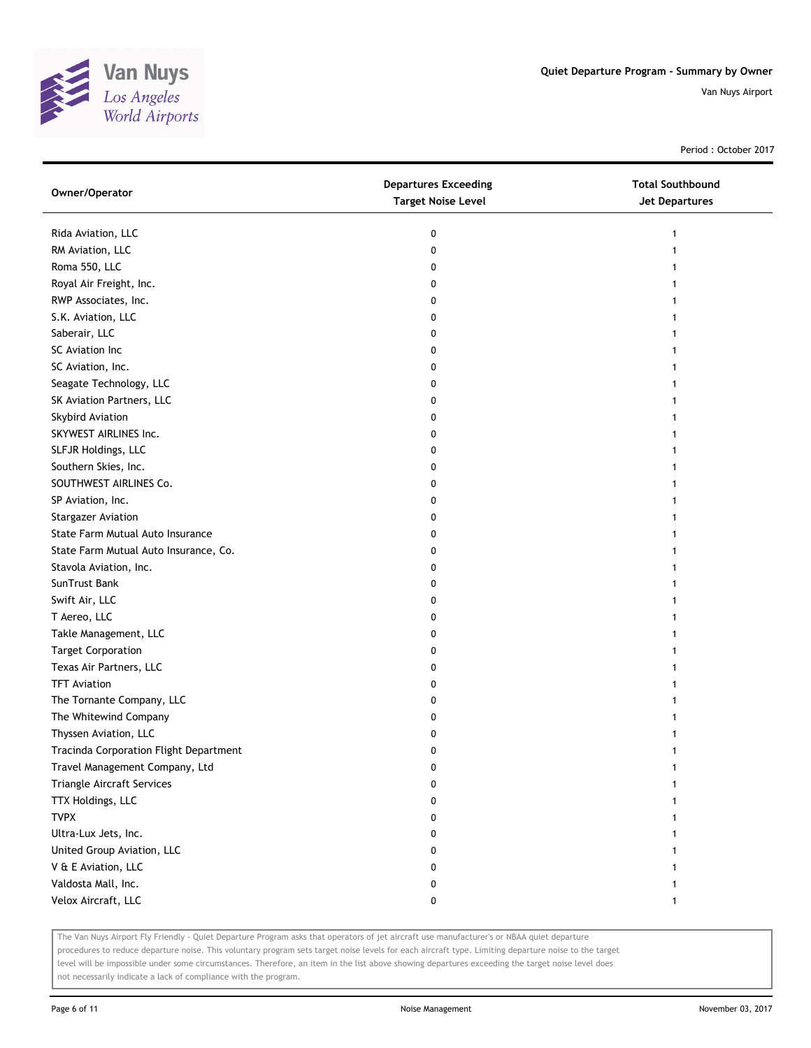

Period : October 2017

| Owner/Operator                         | <b>Departures Exceeding</b><br><b>Target Noise Level</b> | <b>Total Southbound</b><br><b>Jet Departures</b> |
|----------------------------------------|----------------------------------------------------------|--------------------------------------------------|
| Rida Aviation, LLC                     | 0                                                        | 1                                                |
| RM Aviation, LLC                       | 0                                                        |                                                  |
| Roma 550, LLC                          | 0                                                        |                                                  |
| Royal Air Freight, Inc.                | 0                                                        |                                                  |
| RWP Associates, Inc.                   | 0                                                        |                                                  |
| S.K. Aviation, LLC                     | 0                                                        |                                                  |
| Saberair, LLC                          | 0                                                        |                                                  |
| SC Aviation Inc                        | 0                                                        |                                                  |
| SC Aviation, Inc.                      | 0                                                        |                                                  |
| Seagate Technology, LLC                | 0                                                        |                                                  |
| SK Aviation Partners, LLC              | 0                                                        |                                                  |
| Skybird Aviation                       | 0                                                        |                                                  |
| SKYWEST AIRLINES Inc.                  | 0                                                        |                                                  |
| SLFJR Holdings, LLC                    | 0                                                        |                                                  |
| Southern Skies, Inc.                   | 0                                                        |                                                  |
| SOUTHWEST AIRLINES Co.                 | 0                                                        |                                                  |
| SP Aviation, Inc.                      | 0                                                        |                                                  |
| <b>Stargazer Aviation</b>              | 0                                                        |                                                  |
| State Farm Mutual Auto Insurance       | 0                                                        |                                                  |
| State Farm Mutual Auto Insurance, Co.  | 0                                                        |                                                  |
| Stavola Aviation, Inc.                 | 0                                                        |                                                  |
| SunTrust Bank                          | 0                                                        |                                                  |
| Swift Air, LLC                         | 0                                                        |                                                  |
| T Aereo, LLC                           | 0                                                        |                                                  |
| Takle Management, LLC                  | 0                                                        |                                                  |
| <b>Target Corporation</b>              | 0                                                        |                                                  |
| Texas Air Partners, LLC                | 0                                                        |                                                  |
| <b>TFT Aviation</b>                    | 0                                                        |                                                  |
| The Tornante Company, LLC              | 0                                                        |                                                  |
| The Whitewind Company                  | 0                                                        |                                                  |
| Thyssen Aviation, LLC                  | 0                                                        |                                                  |
| Tracinda Corporation Flight Department | 0                                                        |                                                  |
| Travel Management Company, Ltd         | $\pmb{0}$                                                |                                                  |
| Triangle Aircraft Services             | 0                                                        |                                                  |
| TTX Holdings, LLC                      | 0                                                        |                                                  |
| <b>TVPX</b>                            | 0                                                        |                                                  |
| Ultra-Lux Jets, Inc.                   | 0                                                        |                                                  |
| United Group Aviation, LLC             | 0                                                        |                                                  |
| V & E Aviation, LLC                    | 0                                                        |                                                  |
| Valdosta Mall, Inc.                    | 0                                                        |                                                  |
| Velox Aircraft, LLC                    | 0                                                        | 1                                                |

The Van Nuys Airport Fly Friendly - Quiet Departure Program asks that operators of jet aircraft use manufacturer's or NBAA quiet departure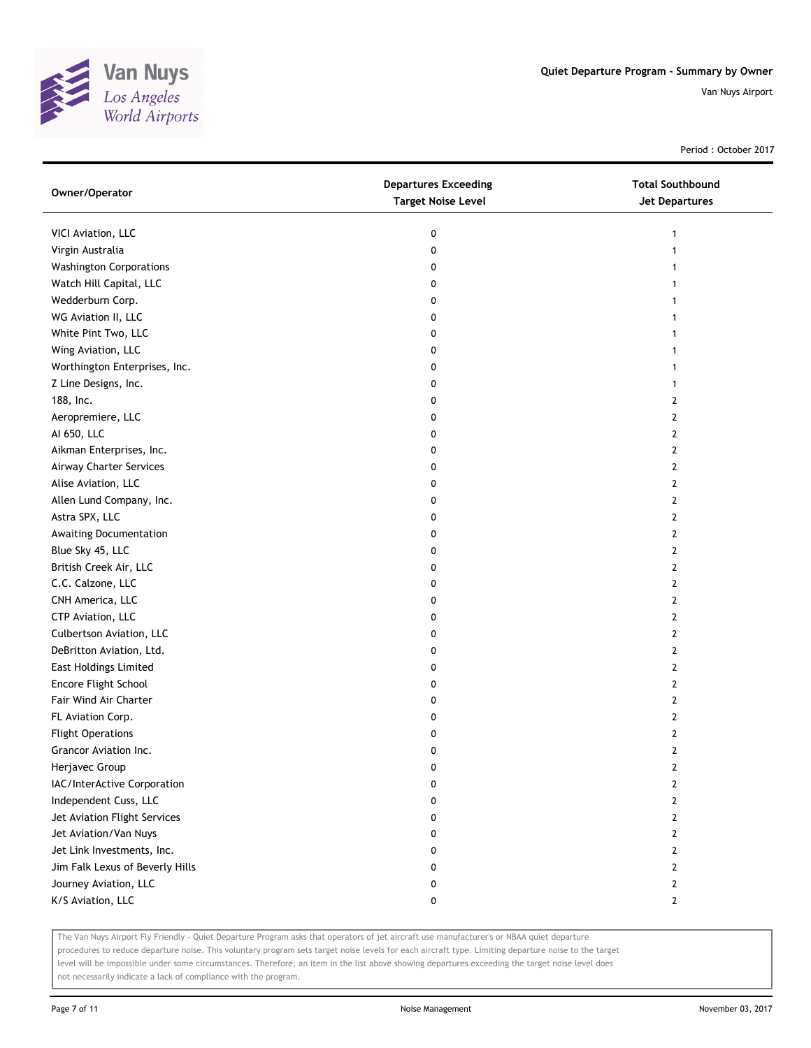

Period : October 2017

| Owner/Operator                  | <b>Departures Exceeding</b><br><b>Target Noise Level</b> | <b>Total Southbound</b><br>Jet Departures |
|---------------------------------|----------------------------------------------------------|-------------------------------------------|
| VICI Aviation, LLC              | 0                                                        | 1                                         |
| Virgin Australia                | 0                                                        | 1                                         |
| <b>Washington Corporations</b>  | 0                                                        |                                           |
| Watch Hill Capital, LLC         | 0                                                        |                                           |
| Wedderburn Corp.                | 0                                                        | 1                                         |
| WG Aviation II, LLC             | 0                                                        | 1                                         |
| White Pint Two, LLC             | 0                                                        |                                           |
| Wing Aviation, LLC              | 0                                                        |                                           |
| Worthington Enterprises, Inc.   | 0                                                        |                                           |
| Z Line Designs, Inc.            | 0                                                        |                                           |
| 188, Inc.                       | 0                                                        | 2                                         |
| Aeropremiere, LLC               | 0                                                        | 2                                         |
| AI 650, LLC                     | 0                                                        | 2                                         |
| Aikman Enterprises, Inc.        | 0                                                        | $\mathbf{2}$                              |
| Airway Charter Services         | 0                                                        | $\mathbf{2}$                              |
| Alise Aviation, LLC             | 0                                                        | $\mathbf{2}$                              |
| Allen Lund Company, Inc.        | 0                                                        | 2                                         |
| Astra SPX, LLC                  | 0                                                        | 2                                         |
| Awaiting Documentation          | 0                                                        | 2                                         |
| Blue Sky 45, LLC                | 0                                                        | 2                                         |
| British Creek Air, LLC          | 0                                                        | $\overline{2}$                            |
| C.C. Calzone, LLC               | 0                                                        | $\overline{2}$                            |
| CNH America, LLC                | 0                                                        | $\mathbf{2}$                              |
| CTP Aviation, LLC               | 0                                                        | $\mathbf{2}$                              |
| Culbertson Aviation, LLC        | 0                                                        | $\mathbf{2}$                              |
| DeBritton Aviation, Ltd.        | 0                                                        | $\mathbf{2}$                              |
| <b>East Holdings Limited</b>    | 0                                                        | 2                                         |
| Encore Flight School            | 0                                                        | 2                                         |
| Fair Wind Air Charter           | 0                                                        | 2                                         |
| FL Aviation Corp.               | 0                                                        | 2                                         |
| <b>Flight Operations</b>        | 0                                                        | $\overline{2}$                            |
| Grancor Aviation Inc.           | 0                                                        | $\overline{2}$                            |
| Herjavec Group                  | 0                                                        | 2                                         |
| IAC/InterActive Corporation     | 0                                                        | 2                                         |
| Independent Cuss, LLC           | 0                                                        | 2                                         |
| Jet Aviation Flight Services    | 0                                                        | 2                                         |
| Jet Aviation/Van Nuys           | 0                                                        | 2                                         |
| Jet Link Investments, Inc.      | 0                                                        | 2                                         |
| Jim Falk Lexus of Beverly Hills | 0                                                        | 2                                         |
| Journey Aviation, LLC           | 0                                                        | 2                                         |
| K/S Aviation, LLC               | 0                                                        | $\mathbf{2}$                              |

The Van Nuys Airport Fly Friendly - Quiet Departure Program asks that operators of jet aircraft use manufacturer's or NBAA quiet departure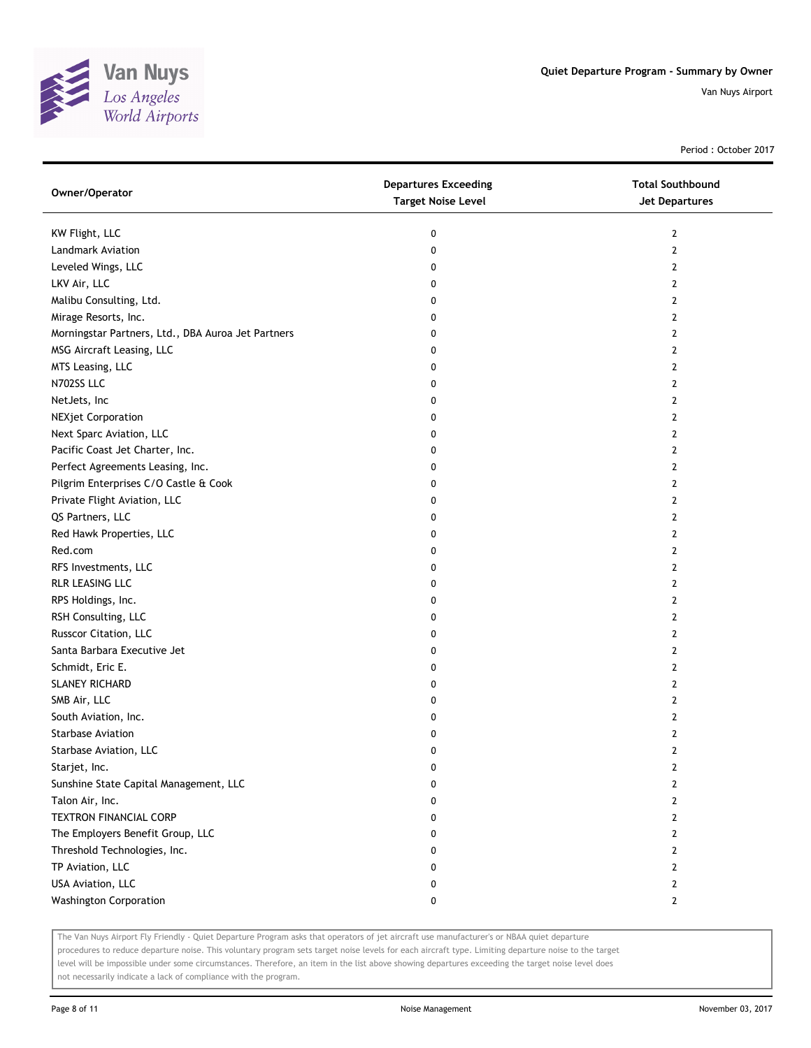

Period : October 2017

| Owner/Operator                                     | <b>Departures Exceeding</b><br><b>Target Noise Level</b> | <b>Total Southbound</b><br><b>Jet Departures</b> |
|----------------------------------------------------|----------------------------------------------------------|--------------------------------------------------|
| KW Flight, LLC                                     | 0                                                        | $\mathbf{2}$                                     |
| <b>Landmark Aviation</b>                           | 0                                                        | $\mathbf{2}$                                     |
| Leveled Wings, LLC                                 | 0                                                        | 2                                                |
| LKV Air, LLC                                       | 0                                                        | 2                                                |
| Malibu Consulting, Ltd.                            | 0                                                        | $\mathbf{2}$                                     |
| Mirage Resorts, Inc.                               | 0                                                        | $\mathbf{2}$                                     |
| Morningstar Partners, Ltd., DBA Auroa Jet Partners | 0                                                        | 2                                                |
| MSG Aircraft Leasing, LLC                          | 0                                                        | 2                                                |
| MTS Leasing, LLC                                   | 0                                                        | $\mathbf{2}$                                     |
| N702SS LLC                                         | 0                                                        | $\mathbf{2}$                                     |
| NetJets, Inc                                       | 0                                                        | $\mathbf{2}$                                     |
| <b>NEXjet Corporation</b>                          | 0                                                        | $\mathbf{2}$                                     |
| Next Sparc Aviation, LLC                           | 0                                                        | 2                                                |
| Pacific Coast Jet Charter, Inc.                    | 0                                                        | $\mathbf{2}$                                     |
| Perfect Agreements Leasing, Inc.                   | 0                                                        | $\mathbf{2}$                                     |
| Pilgrim Enterprises C/O Castle & Cook              | 0                                                        | $\mathbf{2}$                                     |
| Private Flight Aviation, LLC                       | 0                                                        | 2                                                |
| QS Partners, LLC                                   | 0                                                        | 2                                                |
| Red Hawk Properties, LLC                           | 0                                                        | $\mathbf{2}$                                     |
| Red.com                                            | 0                                                        | $\mathbf{2}$                                     |
| RFS Investments, LLC                               | 0                                                        | $\mathbf{2}$                                     |
| RLR LEASING LLC                                    | 0                                                        | $\mathbf{2}$                                     |
| RPS Holdings, Inc.                                 | 0                                                        | 2                                                |
| RSH Consulting, LLC                                | 0                                                        | $\mathbf{2}$                                     |
| Russcor Citation, LLC                              | 0                                                        | $\mathbf{2}$                                     |
| Santa Barbara Executive Jet                        | 0                                                        | $\mathbf{2}$                                     |
| Schmidt, Eric E.                                   | 0                                                        | 2                                                |
| SLANEY RICHARD                                     | 0                                                        | 2                                                |
| SMB Air, LLC                                       | 0                                                        | $\mathbf{2}$                                     |
| South Aviation, Inc.                               | 0                                                        | $\mathbf{2}$                                     |
| <b>Starbase Aviation</b>                           | 0                                                        | $\mathbf{2}$                                     |
| Starbase Aviation, LLC                             | 0                                                        | $\mathbf{2}$                                     |
| Starjet, Inc.                                      | 0                                                        | 2                                                |
| Sunshine State Capital Management, LLC             | 0                                                        | $\mathbf{2}$                                     |
| Talon Air, Inc.                                    | 0                                                        | $\mathbf{2}$                                     |
| <b>TEXTRON FINANCIAL CORP</b>                      | 0                                                        | $\mathbf{2}$                                     |
| The Employers Benefit Group, LLC                   | 0                                                        | $\mathbf{2}$                                     |
| Threshold Technologies, Inc.                       | 0                                                        | 2                                                |
| TP Aviation, LLC                                   | 0                                                        | $\mathbf{2}$                                     |
| USA Aviation, LLC                                  | 0                                                        | $\mathbf{2}$                                     |
| <b>Washington Corporation</b>                      | 0                                                        | $\mathbf{2}$                                     |

The Van Nuys Airport Fly Friendly - Quiet Departure Program asks that operators of jet aircraft use manufacturer's or NBAA quiet departure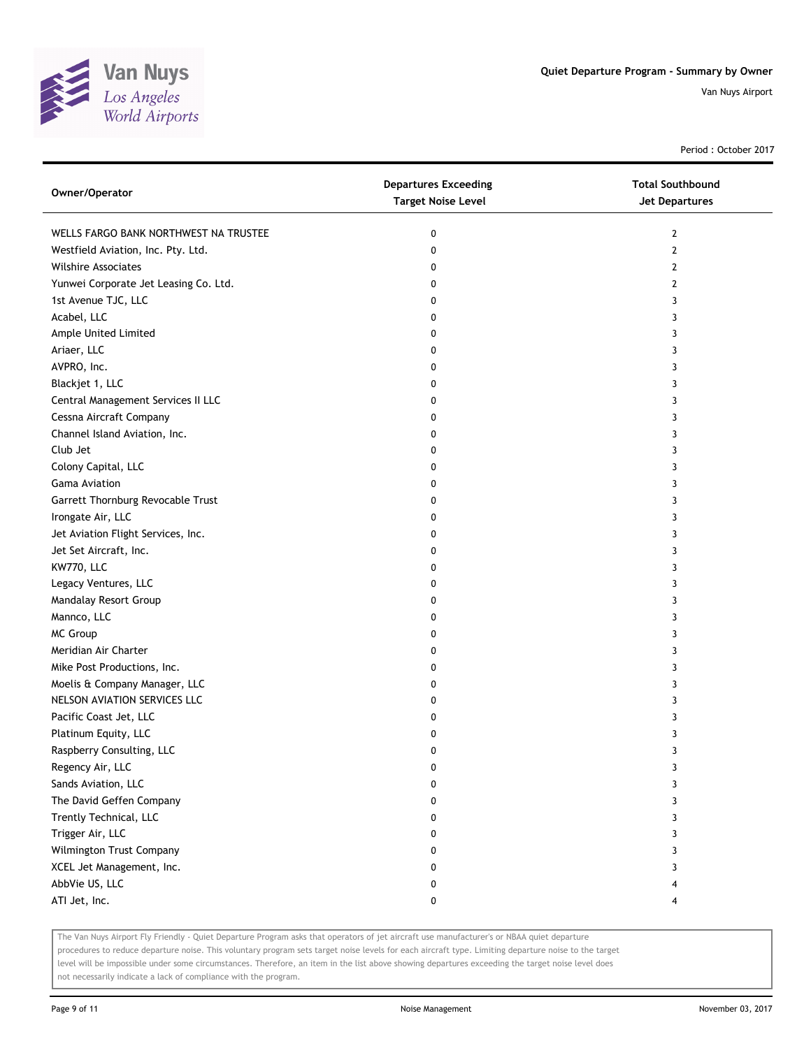

Period : October 2017

| Owner/Operator                        | <b>Departures Exceeding</b><br><b>Target Noise Level</b> | <b>Total Southbound</b><br>Jet Departures |
|---------------------------------------|----------------------------------------------------------|-------------------------------------------|
| WELLS FARGO BANK NORTHWEST NA TRUSTEE | 0                                                        | 2                                         |
| Westfield Aviation, Inc. Pty. Ltd.    | 0                                                        | 2                                         |
| <b>Wilshire Associates</b>            | 0                                                        | 2                                         |
| Yunwei Corporate Jet Leasing Co. Ltd. | 0                                                        | 2                                         |
| 1st Avenue TJC, LLC                   | 0                                                        | 3                                         |
| Acabel, LLC                           | 0                                                        | 3                                         |
| Ample United Limited                  | 0                                                        | 3                                         |
| Ariaer, LLC                           | 0                                                        | 3                                         |
| AVPRO, Inc.                           | 0                                                        | 3                                         |
| Blackjet 1, LLC                       | 0                                                        | 3                                         |
| Central Management Services II LLC    | 0                                                        | 3                                         |
| Cessna Aircraft Company               | 0                                                        | 3                                         |
| Channel Island Aviation, Inc.         | 0                                                        | 3                                         |
| Club Jet                              | 0                                                        | 3                                         |
| Colony Capital, LLC                   | 0                                                        | 3                                         |
| Gama Aviation                         | 0                                                        | 3                                         |
| Garrett Thornburg Revocable Trust     | 0                                                        | 3                                         |
| Irongate Air, LLC                     | 0                                                        | 3                                         |
| Jet Aviation Flight Services, Inc.    | 0                                                        | 3                                         |
| Jet Set Aircraft, Inc.                | 0                                                        | 3                                         |
| KW770, LLC                            | 0                                                        | 3                                         |
| Legacy Ventures, LLC                  | 0                                                        | 3                                         |
| Mandalay Resort Group                 | 0                                                        | 3                                         |
| Mannco, LLC                           | 0                                                        | 3                                         |
| MC Group                              | 0                                                        | 3                                         |
| Meridian Air Charter                  | 0                                                        | 3                                         |
| Mike Post Productions, Inc.           | 0                                                        | 3                                         |
| Moelis & Company Manager, LLC         | 0                                                        | 3                                         |
| NELSON AVIATION SERVICES LLC          | 0                                                        | 3                                         |
| Pacific Coast Jet, LLC                | 0                                                        | 3                                         |
| Platinum Equity, LLC                  | 0                                                        | 3                                         |
| Raspberry Consulting, LLC             | 0                                                        | 3                                         |
| Regency Air, LLC                      | 0                                                        | 3                                         |
| Sands Aviation, LLC                   | 0                                                        | 3                                         |
| The David Geffen Company              | 0                                                        | 3                                         |
| Trently Technical, LLC                | 0                                                        | 3                                         |
| Trigger Air, LLC                      | 0                                                        | 3                                         |
| Wilmington Trust Company              | 0                                                        | 3                                         |
| XCEL Jet Management, Inc.             | 0                                                        | 3                                         |
| AbbVie US, LLC                        | 0                                                        |                                           |
| ATI Jet, Inc.                         | 0                                                        | 4                                         |

The Van Nuys Airport Fly Friendly - Quiet Departure Program asks that operators of jet aircraft use manufacturer's or NBAA quiet departure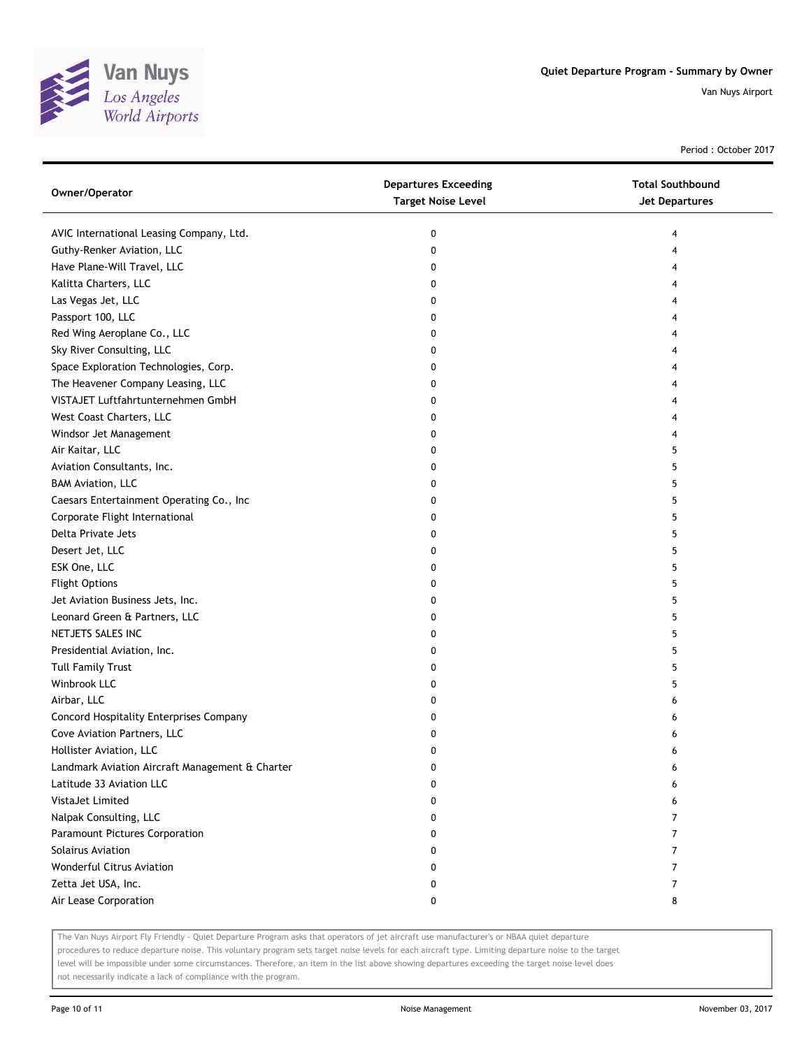

Period : October 2017

| Owner/Operator                                  | <b>Departures Exceeding</b><br><b>Target Noise Level</b> | <b>Total Southbound</b><br><b>Jet Departures</b> |
|-------------------------------------------------|----------------------------------------------------------|--------------------------------------------------|
| AVIC International Leasing Company, Ltd.        | 0                                                        | 4                                                |
| Guthy-Renker Aviation, LLC                      | 0                                                        | 4                                                |
| Have Plane-Will Travel, LLC                     | 0                                                        | 4                                                |
| Kalitta Charters, LLC                           | 0                                                        | 4                                                |
| Las Vegas Jet, LLC                              | 0                                                        | 4                                                |
| Passport 100, LLC                               | 0                                                        | 4                                                |
| Red Wing Aeroplane Co., LLC                     | 0                                                        | 4                                                |
| Sky River Consulting, LLC                       | 0                                                        | 4                                                |
| Space Exploration Technologies, Corp.           | 0                                                        | 4                                                |
| The Heavener Company Leasing, LLC               | 0                                                        |                                                  |
| VISTAJET Luftfahrtunternehmen GmbH              | 0                                                        |                                                  |
| West Coast Charters, LLC                        | 0                                                        |                                                  |
| Windsor Jet Management                          | 0                                                        | 4                                                |
| Air Kaitar, LLC                                 | 0                                                        | 5                                                |
| Aviation Consultants, Inc.                      | 0                                                        | 5                                                |
| <b>BAM Aviation, LLC</b>                        | 0                                                        | 5                                                |
| Caesars Entertainment Operating Co., Inc        | 0                                                        | 5                                                |
| Corporate Flight International                  | 0                                                        | 5                                                |
| Delta Private Jets                              | 0                                                        | 5                                                |
| Desert Jet, LLC                                 | 0                                                        | 5                                                |
| ESK One, LLC                                    | 0                                                        | 5                                                |
| <b>Flight Options</b>                           | 0                                                        | 5                                                |
| Jet Aviation Business Jets, Inc.                | 0                                                        | 5                                                |
| Leonard Green & Partners, LLC                   | 0                                                        | 5                                                |
| NETJETS SALES INC                               | 0                                                        | 5                                                |
| Presidential Aviation, Inc.                     | 0                                                        | 5                                                |
| <b>Tull Family Trust</b>                        | 0                                                        | 5                                                |
| Winbrook LLC                                    | 0                                                        | 5                                                |
| Airbar, LLC                                     | 0                                                        | 6                                                |
| Concord Hospitality Enterprises Company         | 0                                                        | 6                                                |
| Cove Aviation Partners, LLC                     | 0                                                        | 6                                                |
| Hollister Aviation, LLC                         | 0                                                        | 6                                                |
| Landmark Aviation Aircraft Management & Charter | 0                                                        | 6                                                |
| Latitude 33 Aviation LLC                        | 0                                                        | 6                                                |
| VistaJet Limited                                | 0                                                        | 6                                                |
| Nalpak Consulting, LLC                          | 0                                                        | 7                                                |
| Paramount Pictures Corporation                  | 0                                                        | 7                                                |
| Solairus Aviation                               | 0                                                        | 7                                                |
| <b>Wonderful Citrus Aviation</b>                | 0                                                        | 7                                                |
| Zetta Jet USA, Inc.                             | 0                                                        | 7                                                |
| Air Lease Corporation                           | 0                                                        | 8                                                |

The Van Nuys Airport Fly Friendly - Quiet Departure Program asks that operators of jet aircraft use manufacturer's or NBAA quiet departure